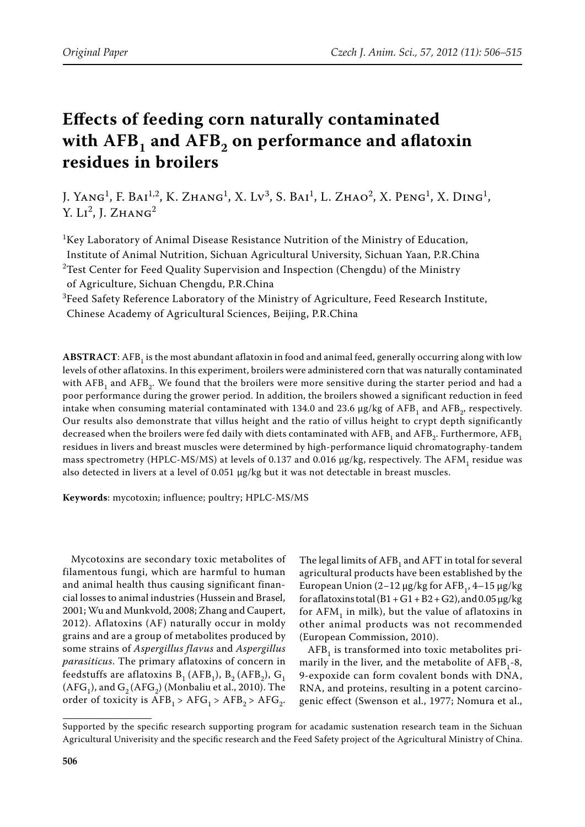# **Effects of feeding corn naturally contaminated**  with AFB<sub>1</sub> and AFB<sub>2</sub> on performance and aflatoxin **residues in broilers**

J. Yang<sup>1</sup>, F. Bai<sup>1,2</sup>, K. Zhang<sup>1</sup>, X. Lv<sup>3</sup>, S. Bai<sup>1</sup>, L. Zhao<sup>2</sup>, X. Peng<sup>1</sup>, X. Ding<sup>1</sup>, Y.  $Li^2$ , J.  $ZHANG^2$ 

 ${}^{1}$ Key Laboratory of Animal Disease Resistance Nutrition of the Ministry of Education, Institute of Animal Nutrition, Sichuan Agricultural University, Sichuan Yaan, P.R.China  $^{2}$ Test Center for Feed Quality Supervision and Inspection (Chengdu) of the Ministry

of Agriculture, Sichuan Chengdu, P.R.China

 ${}^{3}$ Feed Safety Reference Laboratory of the Ministry of Agriculture, Feed Research Institute, Chinese Academy of Agricultural Sciences, Beijing, P.R.China

**ABSTRACT**: AFB<sub>1</sub> is the most abundant aflatoxin in food and animal feed, generally occurring along with low levels of other aflatoxins. In this experiment, broilers were administered corn that was naturally contaminated with  $AFB<sub>1</sub>$  and  $AFB<sub>2</sub>$ . We found that the broilers were more sensitive during the starter period and had a poor performance during the grower period. In addition, the broilers showed a significant reduction in feed intake when consuming material contaminated with 134.0 and 23.6  $\mu$ g/kg of AFB<sub>1</sub> and AFB<sub>2</sub>, respectively. Our results also demonstrate that villus height and the ratio of villus height to crypt depth significantly decreased when the broilers were fed daily with diets contaminated with AFB<sub>1</sub> and AFB<sub>2</sub>. Furthermore, AFB<sub>1</sub> residues in livers and breast muscles were determined by high-performance liquid chromatography-tandem mass spectrometry (HPLC-MS/MS) at levels of 0.137 and 0.016  $\mu$ g/kg, respectively. The AFM, residue was also detected in livers at a level of 0.051 µg/kg but it was not detectable in breast muscles.

**Keywords**: mycotoxin; influence; poultry; HPLC-MS/MS

Mycotoxins are secondary toxic metabolites of filamentous fungi, which are harmful to human and animal health thus causing significant financial losses to animal industries (Hussein and Brasel, 2001; Wu and Munkvold, 2008; Zhang and Caupert, 2012). Aflatoxins (AF) naturally occur in moldy grains and are a group of metabolites produced by some strains of *Aspergillus flavus* and *Aspergillus parasiticus*. The primary aflatoxins of concern in feedstuffs are aflatoxins  $B_1$  (AFB<sub>1</sub>), B<sub>2</sub> (AFB<sub>2</sub>), G<sub>1</sub>  $(AFG<sub>1</sub>)$ , and  $G<sub>2</sub>(AFG<sub>2</sub>)$  (Monbaliu et al., 2010). The order of toxicity is  $AFB<sub>1</sub> > AFG<sub>1</sub> > AFB<sub>2</sub> > AFG<sub>2</sub>$ .

The legal limits of  $AFB<sub>1</sub>$  and  $AFT$  in total for several agricultural products have been established by the European Union  $(2-12 \mu g/kg$  for AFB<sub>1</sub>, 4–15 μg/kg for aflatoxins total  $(B1 + G1 + B2 + G2)$ , and  $0.05 \mu$ g/kg for  $AFM<sub>1</sub>$  in milk), but the value of aflatoxins in other animal products was not recommended (European Commission, 2010).

 $AFB<sub>1</sub>$  is transformed into toxic metabolites primarily in the liver, and the metabolite of  $AFB<sub>1</sub>-8$ , 9-expoxide can form covalent bonds with DNA, RNA, and proteins, resulting in a potent carcinogenic effect (Swenson et al., 1977; Nomura et al.,

Supported by the specific research supporting program for acadamic sustenation research team in the Sichuan Agricultural Univerisity and the specific research and the Feed Safety project of the Agricultural Ministry of China.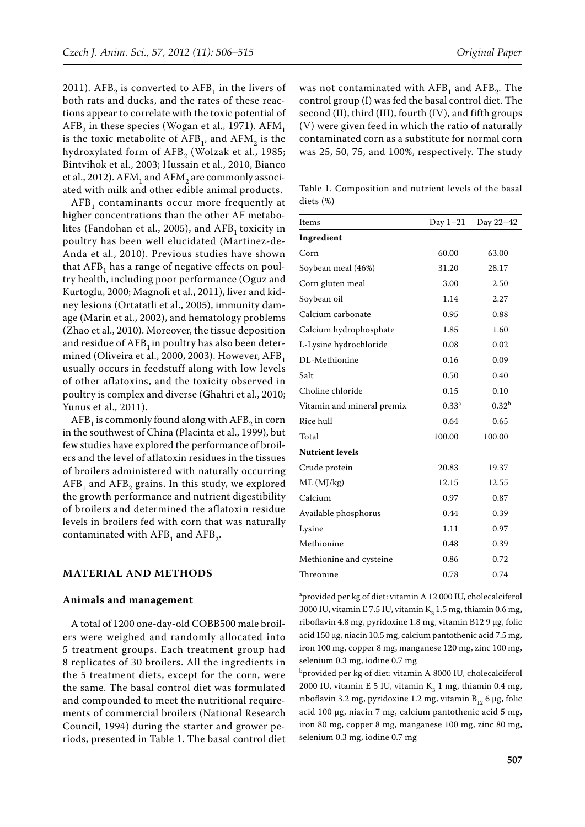2011).  $AFB_2$  is converted to  $AFB_1$  in the livers of both rats and ducks, and the rates of these reactions appear to correlate with the toxic potential of  $AFB<sub>2</sub>$  in these species (Wogan et al., 1971).  $AFM<sub>1</sub>$ is the toxic metabolite of  $AFB<sub>1</sub>$ , and  $AFM<sub>2</sub>$  is the hydroxylated form of  $AFB<sub>2</sub>$  (Wolzak et al., 1985; Bintvihok et al., 2003; Hussain et al., 2010, Bianco et al., 2012).  $AFM<sub>1</sub>$  and  $AFM<sub>2</sub>$  are commonly associated with milk and other edible animal products.

AFB<sub>1</sub> contaminants occur more frequently at higher concentrations than the other AF metabolites (Fandohan et al., 2005), and  $AFB<sub>1</sub>$  toxicity in poultry has been well elucidated (Martinez-de-Anda et al., 2010). Previous studies have shown that  $AFB<sub>1</sub>$  has a range of negative effects on poultry health, including poor performance (Oguz and Kurtoglu, 2000; Magnoli et al., 2011), liver and kidney lesions (Ortatatli et al., 2005), immunity damage (Marin et al., 2002), and hematology problems (Zhao et al., 2010). Moreover, the tissue deposition and residue of  $AFB<sub>1</sub>$  in poultry has also been determined (Oliveira et al., 2000, 2003). However, AFB<sub>1</sub> usually occurs in feedstuff along with low levels of other aflatoxins, and the toxicity observed in poultry is complex and diverse (Ghahri et al., 2010; Yunus et al., 2011).

 $AFB<sub>1</sub>$  is commonly found along with  $AFB<sub>2</sub>$  in corn in the southwest of China (Placinta et al., 1999), but few studies have explored the performance of broilers and the level of aflatoxin residues in the tissues of broilers administered with naturally occurring  $AFB<sub>1</sub>$  and  $AFB<sub>2</sub>$  grains. In this study, we explored the growth performance and nutrient digestibility of broilers and determined the aflatoxin residue levels in broilers fed with corn that was naturally contaminated with  $AFB<sub>1</sub>$  and  $AFB<sub>2</sub>$ .

# **MATERIAL AND METHODS**

#### **Animals and management**

A total of 1200 one-day-old COBB500 male broilers were weighed and randomly allocated into 5 treatment groups. Each treatment group had 8 replicates of 30 broilers. All the ingredients in the 5 treatment diets, except for the corn, were the same. The basal control diet was formulated and compounded to meet the nutritional requirements of commercial broilers (National Research Council, 1994) during the starter and grower periods, presented in Table 1. The basal control diet was not contaminated with  $AFB<sub>1</sub>$  and  $AFB<sub>2</sub>$ . The control group (I) was fed the basal control diet. The second (II), third (III), fourth (IV), and fifth groups (V) were given feed in which the ratio of naturally contaminated corn as a substitute for normal corn was 25, 50, 75, and 100%, respectively. The study

Table 1. Composition and nutrient levels of the basal diets (%)

| Items                      |                   | Day 1-21 Day 22-42 |
|----------------------------|-------------------|--------------------|
| Ingredient                 |                   |                    |
| Corn                       | 60.00             | 63.00              |
| Soybean meal (46%)         | 31.20             | 28.17              |
| Corn gluten meal           | 3.00              | 2.50               |
| Soybean oil                | 1.14              | 2.27               |
| Calcium carbonate          | 0.95              | 0.88               |
| Calcium hydrophosphate     | 1.85              | 1.60               |
| L-Lysine hydrochloride     | 0.08              | 0.02               |
| DL-Methionine              | 0.16              | 0.09               |
| Salt                       | 0.50              | 0.40               |
| Choline chloride           | 0.15              | 0.10               |
| Vitamin and mineral premix | 0.33 <sup>a</sup> | 0.32 <sup>b</sup>  |
| Rice hull                  | 0.64              | 0.65               |
| Total                      | 100.00            | 100.00             |
| <b>Nutrient levels</b>     |                   |                    |
| Crude protein              | 20.83             | 19.37              |
| ME (MJ/kg)                 | 12.15             | 12.55              |
| Calcium                    | 0.97              | 0.87               |
| Available phosphorus       | 0.44              | 0.39               |
| Lysine                     | 1.11              | 0.97               |
| Methionine                 | 0.48              | 0.39               |
| Methionine and cysteine    | 0.86              | 0.72               |
| Threonine                  | 0.78              | 0.74               |

a provided per kg of diet: vitamin A 12 000 IU, cholecalciferol 3000 IU, vitamin E 7.5 IU, vitamin  $K<sub>3</sub>$  1.5 mg, thiamin 0.6 mg, riboflavin 4.8 mg, pyridoxine 1.8 mg, vitamin B12 9 μg, folic acid 150 μg, niacin 10.5 mg, calcium pantothenic acid 7.5 mg, iron 100 mg, copper 8 mg, manganese 120 mg, zinc 100 mg, selenium 0.3 mg, iodine 0.7 mg

b provided per kg of diet: vitamin A 8000 IU, cholecalciferol 2000 IU, vitamin E 5 IU, vitamin  $K_3$  1 mg, thiamin 0.4 mg, riboflavin 3.2 mg, pyridoxine 1.2 mg, vitamin  $B_{12}$  6 µg, folic acid 100 μg, niacin 7 mg, calcium pantothenic acid 5 mg, iron 80 mg, copper 8 mg, manganese 100 mg, zinc 80 mg, selenium 0.3 mg, iodine 0.7 mg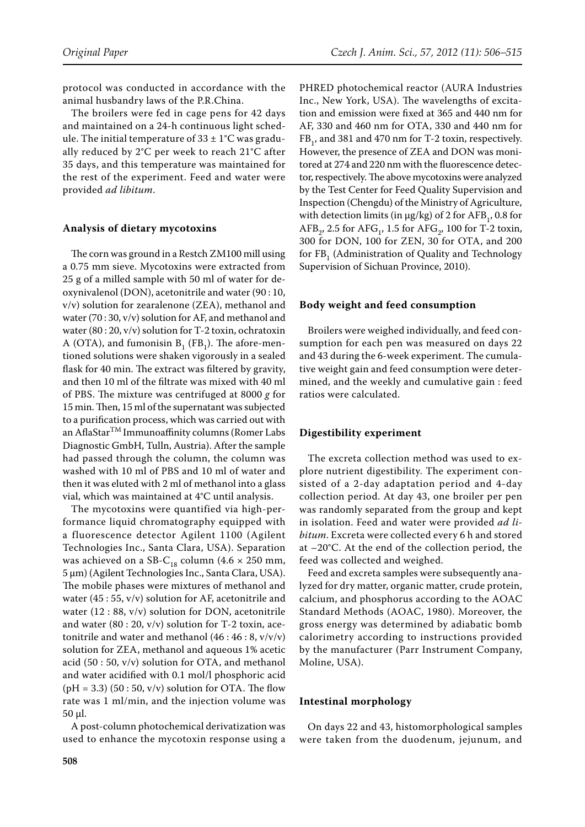protocol was conducted in accordance with the animal husbandry laws of the P.R.China.

The broilers were fed in cage pens for 42 days and maintained on a 24-h continuous light schedule. The initial temperature of  $33 \pm 1$ °C was gradually reduced by 2°C per week to reach 21°C after 35 days, and this temperature was maintained for the rest of the experiment. Feed and water were provided *ad libitum*.

### **Analysis of dietary mycotoxins**

The corn was ground in a Restch ZM100 mill using a 0.75 mm sieve. Mycotoxins were extracted from 25 g of a milled sample with 50 ml of water for deoxynivalenol (DON), acetonitrile and water (90 : 10, v/v) solution for zearalenone (ZEA), methanol and water (70 : 30, v/v) solution for AF, and methanol and water  $(80:20, v/v)$  solution for T-2 toxin, ochratoxin A (OTA), and fumonisin  $B_1$  (FB<sub>1</sub>). The afore-mentioned solutions were shaken vigorously in a sealed flask for 40 min. The extract was filtered by gravity, and then 10 ml of the filtrate was mixed with 40 ml of PBS. The mixture was centrifuged at 8000 *g* for 15 min. Then, 15 ml of the supernatant was subjected to a purification process, which was carried out with an AflaStarTM Immunoaffinity columns (Romer Labs Diagnostic GmbH, Tulln, Austria). After the sample had passed through the column, the column was washed with 10 ml of PBS and 10 ml of water and then it was eluted with 2 ml of methanol into a glass vial, which was maintained at 4°C until analysis.

The mycotoxins were quantified via high-performance liquid chromatography equipped with a fluorescence detector Agilent 1100 (Agilent Technologies Inc., Santa Clara, USA). Separation was achieved on a SB-C<sub>18</sub> column (4.6  $\times$  250 mm, 5 μm) (Agilent Technologies Inc., Santa Clara, USA). The mobile phases were mixtures of methanol and water (45 : 55, v/v) solution for AF, acetonitrile and water (12 : 88, v/v) solution for DON, acetonitrile and water  $(80:20, v/v)$  solution for T-2 toxin, acetonitrile and water and methanol  $(46:46:8, v/v/v)$ solution for ZEA, methanol and aqueous 1% acetic acid (50 : 50, v/v) solution for OTA, and methanol and water acidified with 0.1 mol/l phosphoric acid  $(pH = 3.3)$  (50 : 50, v/v) solution for OTA. The flow rate was 1 ml/min, and the injection volume was 50 μl.

A post-column photochemical derivatization was used to enhance the mycotoxin response using a

PHRED photochemical reactor (AURA Industries Inc., New York, USA). The wavelengths of excitation and emission were fixed at 365 and 440 nm for AF, 330 and 460 nm for OTA, 330 and 440 nm for  $FB<sub>1</sub>$ , and 381 and 470 nm for T-2 toxin, respectively. However, the presence of ZEA and DON was monitored at 274 and 220 nm with the fluorescence detector, respectively. The above mycotoxins were analyzed by the Test Center for Feed Quality Supervision and Inspection (Chengdu) of the Ministry of Agriculture, with detection limits (in  $\mu$ g/kg) of 2 for AFB<sub>1</sub>, 0.8 for  $AFB<sub>2</sub>$ , 2.5 for  $AFG<sub>1</sub>$ , 1.5 for  $AFG<sub>2</sub>$ , 100 for T-2 toxin, 300 for DON, 100 for ZEN, 30 for OTA, and 200 for FB<sub>1</sub> (Administration of Quality and Technology Supervision of Sichuan Province, 2010).

# **Body weight and feed consumption**

Broilers were weighed individually, and feed consumption for each pen was measured on days 22 and 43 during the 6-week experiment. The cumulative weight gain and feed consumption were determined, and the weekly and cumulative gain : feed ratios were calculated.

#### **Digestibility experiment**

The excreta collection method was used to explore nutrient digestibility. The experiment consisted of a 2-day adaptation period and 4-day collection period. At day 43, one broiler per pen was randomly separated from the group and kept in isolation. Feed and water were provided *ad libitum*. Excreta were collected every 6 h and stored at –20°C. At the end of the collection period, the feed was collected and weighed.

Feed and excreta samples were subsequently analyzed for dry matter, organic matter, crude protein, calcium, and phosphorus according to the AOAC Standard Methods (AOAC, 1980). Moreover, the gross energy was determined by adiabatic bomb calorimetry according to instructions provided by the manufacturer (Parr Instrument Company, Moline, USA).

## **Intestinal morphology**

On days 22 and 43, histomorphological samples were taken from the duodenum, jejunum, and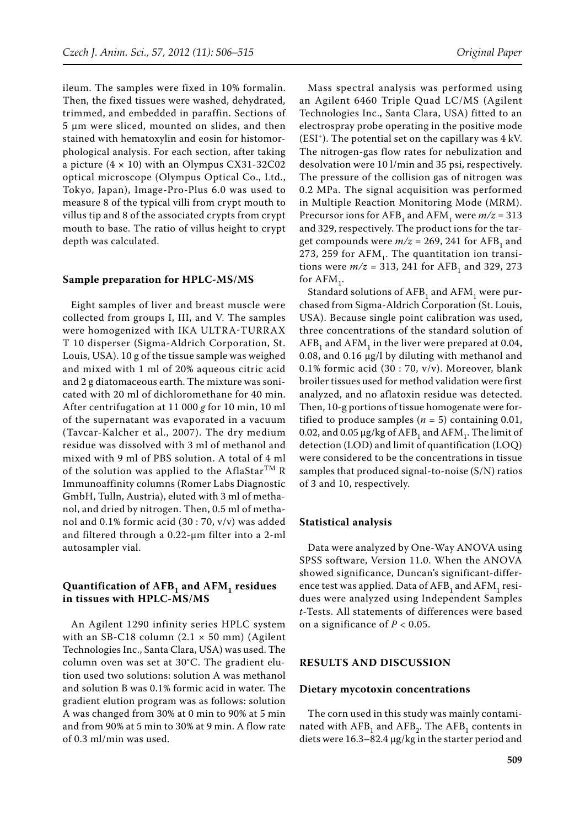ileum. The samples were fixed in 10% formalin. Then, the fixed tissues were washed, dehydrated, trimmed, and embedded in paraffin. Sections of 5 μm were sliced, mounted on slides, and then stained with hematoxylin and eosin for histomorphological analysis. For each section, after taking a picture  $(4 \times 10)$  with an Olympus CX31-32C02 optical microscope (Olympus Optical Co., Ltd., Tokyo, Japan), Image-Pro-Plus 6.0 was used to measure 8 of the typical villi from crypt mouth to villus tip and 8 of the associated crypts from crypt mouth to base. The ratio of villus height to crypt depth was calculated.

### **Sample preparation for HPLC-MS/MS**

Eight samples of liver and breast muscle were collected from groups I, III, and V. The samples were homogenized with IKA ULTRA-TURRAX T 10 disperser (Sigma-Aldrich Corporation, St. Louis, USA). 10 g of the tissue sample was weighed and mixed with 1 ml of 20% aqueous citric acid and 2 g diatomaceous earth. The mixture was sonicated with 20 ml of dichloromethane for 40 min. After centrifugation at 11 000 *g* for 10 min, 10 ml of the supernatant was evaporated in a vacuum (Tavcar-Kalcher et al., 2007). The dry medium residue was dissolved with 3 ml of methanol and mixed with 9 ml of PBS solution. A total of 4 ml of the solution was applied to the AflaStar<sup>TM</sup> R Immunoaffinity columns (Romer Labs Diagnostic GmbH, Tulln, Austria), eluted with 3 ml of methanol, and dried by nitrogen. Then, 0.5 ml of methanol and 0.1% formic acid (30 : 70, v/v) was added and filtered through a 0.22-μm filter into a 2-ml autosampler vial.

# Quantification of AFB<sub>1</sub> and AFM<sub>1</sub> residues **in tissues with HPLC-MS/MS**

An Agilent 1290 infinity series HPLC system with an SB-C18 column  $(2.1 \times 50 \text{ mm})$  (Agilent Technologies Inc., Santa Clara, USA) was used. The column oven was set at 30°C. The gradient elution used two solutions: solution A was methanol and solution B was 0.1% formic acid in water. The gradient elution program was as follows: solution A was changed from 30% at 0 min to 90% at 5 min and from 90% at 5 min to 30% at 9 min. A flow rate of 0.3 ml/min was used.

Mass spectral analysis was performed using an Agilent 6460 Triple Quad LC/MS (Agilent Technologies Inc., Santa Clara, USA) fitted to an electrospray probe operating in the positive mode  $(ESI<sup>+</sup>)$ . The potential set on the capillary was  $4$  kV. The nitrogen-gas flow rates for nebulization and desolvation were 10 l/min and 35 psi, respectively. The pressure of the collision gas of nitrogen was 0.2 MPa. The signal acquisition was performed in Multiple Reaction Monitoring Mode (MRM). Precursor ions for AFB<sub>1</sub> and AFM<sub>1</sub> were  $m/z = 313$ and 329, respectively. The product ions for the target compounds were  $m/z = 269$ , 241 for AFB<sub>1</sub> and 273, 259 for  $AFM<sub>1</sub>$ . The quantitation ion transitions were  $m/z = 313$ , 241 for AFB<sub>1</sub> and 329, 273 for  $AFM_1$ .

Standard solutions of  $AFB<sub>1</sub>$  and  $AFM<sub>1</sub>$  were purchased from Sigma-Aldrich Corporation (St. Louis, USA). Because single point calibration was used, three concentrations of the standard solution of  $AFB<sub>1</sub>$  and  $AFM<sub>1</sub>$  in the liver were prepared at 0.04, 0.08, and 0.16 µg/l by diluting with methanol and 0.1% formic acid (30 : 70, v/v). Moreover, blank broiler tissues used for method validation were first analyzed, and no aflatoxin residue was detected. Then, 10-g portions of tissue homogenate were fortified to produce samples  $(n = 5)$  containing 0.01, 0.02, and 0.05  $\mu$ g/kg of AFB<sub>1</sub> and AFM<sub>1</sub>. The limit of detection (LOD) and limit of quantification (LOQ) were considered to be the concentrations in tissue samples that produced signal-to-noise (S/N) ratios of 3 and 10, respectively.

### **Statistical analysis**

Data were analyzed by One-Way ANOVA using SPSS software, Version 11.0. When the ANOVA showed significance, Duncan's significant-difference test was applied. Data of AFB<sub>1</sub> and AFM<sub>1</sub> residues were analyzed using Independent Samples *t*-Tests. All statements of differences were based on a significance of  $P < 0.05$ .

# **RESULTS AND DISCUSSION**

#### **Dietary mycotoxin concentrations**

The corn used in this study was mainly contaminated with  $AFB<sub>1</sub>$  and  $AFB<sub>2</sub>$ . The  $AFB<sub>1</sub>$  contents in diets were 16.3–82.4 µg/kg in the starter period and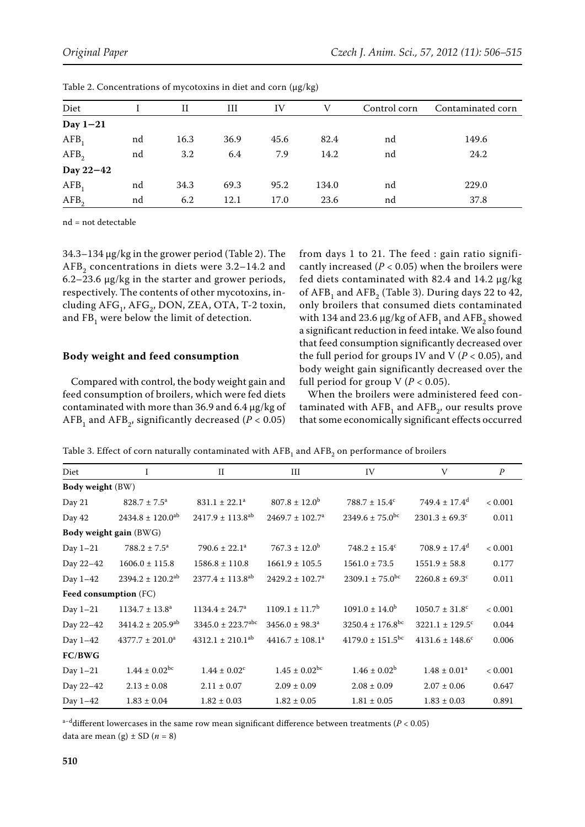| Diet             |    | Н    | Ш    | IV   | V     | Control corn | Contaminated corn |
|------------------|----|------|------|------|-------|--------------|-------------------|
| Day $1-21$       |    |      |      |      |       |              |                   |
| $AFB_1$          | nd | 16.3 | 36.9 | 45.6 | 82.4  | nd           | 149.6             |
| AFB <sub>2</sub> | nd | 3.2  | 6.4  | 7.9  | 14.2  | nd           | 24.2              |
| Day 22-42        |    |      |      |      |       |              |                   |
| $AFB_1$          | nd | 34.3 | 69.3 | 95.2 | 134.0 | nd           | 229.0             |
| AFB <sub>2</sub> | nd | 6.2  | 12.1 | 17.0 | 23.6  | nd           | 37.8              |

| Table 2. Concentrations of mycotoxins in diet and corn (µg/kg) |  |  |  |
|----------------------------------------------------------------|--|--|--|
|----------------------------------------------------------------|--|--|--|

nd = not detectable

34.3–134 µg/kg in the grower period (Table 2). The  $AFB<sub>2</sub>$  concentrations in diets were 3.2–14.2 and 6.2–23.6 µg/kg in the starter and grower periods, respectively. The contents of other mycotoxins, including  $AFG_1$ ,  $AFG_2$ , DON, ZEA, OTA, T-2 toxin, and  $FB<sub>1</sub>$  were below the limit of detection.

### **Body weight and feed consumption**

Compared with control, the body weight gain and feed consumption of broilers, which were fed diets contaminated with more than 36.9 and  $6.4 \mu$ g/kg of  $AFB<sub>1</sub>$  and  $AFB<sub>2</sub>$ , significantly decreased (*P* < 0.05) from days 1 to 21. The feed : gain ratio significantly increased  $(P < 0.05)$  when the broilers were fed diets contaminated with 82.4 and 14.2 µg/kg of  $AFB<sub>1</sub>$  and  $AFB<sub>2</sub>$  (Table 3). During days 22 to 42, only broilers that consumed diets contaminated with 134 and 23.6  $\mu$ g/kg of AFB<sub>1</sub> and AFB<sub>2</sub> showed a significant reduction in feed intake. We also found that feed consumption significantly decreased over the full period for groups IV and V ( $P < 0.05$ ), and body weight gain significantly decreased over the full period for group  $V (P < 0.05)$ .

When the broilers were administered feed contaminated with  $AFB<sub>1</sub>$  and  $AFB<sub>2</sub>$ , our results prove that some economically significant effects occurred

Table 3. Effect of corn naturally contaminated with  $AFB<sub>1</sub>$  and  $AFB<sub>2</sub>$  on performance of broilers

| Diet                         | Ι                                | $\mathbf{I}$                      | Ш                              | IV                               | V                               | $\boldsymbol{P}$ |
|------------------------------|----------------------------------|-----------------------------------|--------------------------------|----------------------------------|---------------------------------|------------------|
| Body weight (BW)             |                                  |                                   |                                |                                  |                                 |                  |
| Day 21                       | $828.7 \pm 7.5^a$                | $831.1 \pm 22.1^a$                | $807.8 \pm 12.0^b$             | $788.7 \pm 15.4^c$               | $749.4 \pm 17.4$ <sup>d</sup>   | < 0.001          |
| Day 42                       | $2434.8 \pm 120.0$ <sup>ab</sup> | $2417.9 \pm 113.8$ <sup>ab</sup>  | $2469.7 \pm 102.7^a$           | $2349.6 \pm 75.0$ <sup>bc</sup>  | $2301.3 \pm 69.3$ <sup>c</sup>  | 0.011            |
|                              | Body weight gain (BWG)           |                                   |                                |                                  |                                 |                  |
| Day $1-21$                   | $788.2 \pm 7.5^a$                | $790.6 \pm 22.1^a$                | $767.3 \pm 12.0^b$             | $748.2 \pm 15.4^c$               | $708.9 \pm 17.4^{\rm d}$        | < 0.001          |
| Day 22-42                    | $1606.0 \pm 115.8$               | $1586.8 \pm 110.8$                | $1661.9 \pm 105.5$             | $1561.0 \pm 73.5$                | $1551.9 \pm 58.8$               | 0.177            |
| Day $1-42$                   | $2394.2 \pm 120.2$ <sup>ab</sup> | $2377.4 \pm 113.8$ <sup>ab</sup>  | $2429.2 \pm 102.7^a$           | $2309.1 \pm 75.0$ <sup>bc</sup>  | $2260.8 \pm 69.3$ <sup>c</sup>  | 0.011            |
| <b>Feed consumption (FC)</b> |                                  |                                   |                                |                                  |                                 |                  |
| Day $1-21$                   | $1134.7 \pm 13.8^a$              | $1134.4 \pm 24.7^a$               | $1109.1 \pm 11.7$ <sup>b</sup> | $1091.0 \pm 14.0^b$              | $1050.7 \pm 31.8$ <sup>c</sup>  | < 0.001          |
| Day 22-42                    | $3414.2 \pm 205.9$ <sup>ab</sup> | $3345.0 \pm 223.7$ <sup>abc</sup> | $3456.0 \pm 98.3^{\circ}$      | $3250.4 \pm 176.8$ <sup>bc</sup> | $3221.1 \pm 129.5$ <sup>c</sup> | 0.044            |
| Day $1-42$                   | $4377.7 \pm 201.0^a$             | $4312.1 \pm 210.1$ <sup>ab</sup>  | $4416.7 \pm 108.1^a$           | $4179.0 \pm 151.5$ <sup>bc</sup> | $4131.6 \pm 148.6$ <sup>c</sup> | 0.006            |
| FC/BWG                       |                                  |                                   |                                |                                  |                                 |                  |
| Day $1-21$                   | $1.44 \pm 0.02^{bc}$             | $1.44 \pm 0.02^c$                 | $1.45 \pm 0.02$ <sup>bc</sup>  | $1.46 \pm 0.02^b$                | $1.48 \pm 0.01^a$               | < 0.001          |
| Day 22-42                    | $2.13 \pm 0.08$                  | $2.11 \pm 0.07$                   | $2.09 \pm 0.09$                | $2.08 \pm 0.09$                  | $2.07 \pm 0.06$                 | 0.647            |
| Day 1-42                     | $1.83 \pm 0.04$                  | $1.82 \pm 0.03$                   | $1.82 \pm 0.05$                | $1.81 \pm 0.05$                  | $1.83 \pm 0.03$                 | 0.891            |

a−ddifferent lowercases in the same row mean significant difference between treatments (*P* < 0.05) data are mean (g)  $\pm$  SD ( $n = 8$ )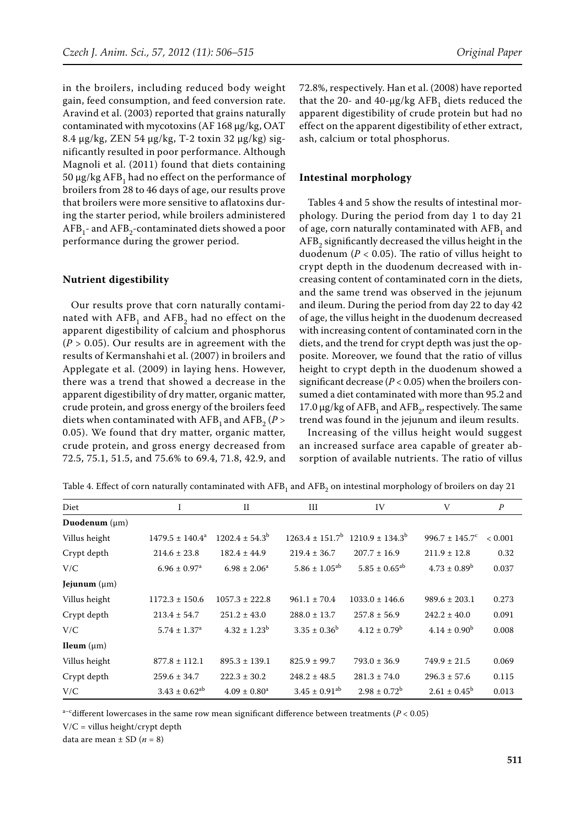in the broilers, including reduced body weight gain, feed consumption, and feed conversion rate. Aravind et al. (2003) reported that grains naturally contaminated with mycotoxins (AF 168 µg/kg, OAT 8.4 µg/kg, ZEN 54 µg/kg, T-2 toxin 32 µg/kg) significantly resulted in poor performance. Although Magnoli et al. (2011) found that diets containing  $50 \mu g/kg AFB$ , had no effect on the performance of broilers from 28 to 46 days of age, our results prove that broilers were more sensitive to aflatoxins during the starter period, while broilers administered  $AFB<sub>1</sub>$ - and  $AFB<sub>2</sub>$ -contaminated diets showed a poor performance during the grower period.

# **Nutrient digestibility**

Our results prove that corn naturally contaminated with  $AFB<sub>1</sub>$  and  $AFB<sub>2</sub>$  had no effect on the apparent digestibility of calcium and phosphorus  $(P > 0.05)$ . Our results are in agreement with the results of Kermanshahi et al. (2007) in broilers and Applegate et al. (2009) in laying hens. However, there was a trend that showed a decrease in the apparent digestibility of dry matter, organic matter, crude protein, and gross energy of the broilers feed diets when contaminated with  $AFB<sub>1</sub>$  and  $AFB<sub>2</sub>$  (*P* > 0.05). We found that dry matter, organic matter, crude protein, and gross energy decreased from 72.5, 75.1, 51.5, and 75.6% to 69.4, 71.8, 42.9, and 72.8%, respectively. Han et al. (2008) have reported that the 20- and 40- $\mu$ g/kg AFB<sub>1</sub> diets reduced the apparent digestibility of crude protein but had no effect on the apparent digestibility of ether extract, ash, calcium or total phosphorus.

#### **Intestinal morphology**

Tables 4 and 5 show the results of intestinal morphology. During the period from day 1 to day 21 of age, corn naturally contaminated with AFB1 and AFB<sub>2</sub> significantly decreased the villus height in the duodenum ( $P < 0.05$ ). The ratio of villus height to crypt depth in the duodenum decreased with increasing content of contaminated corn in the diets, and the same trend was observed in the jejunum and ileum. During the period from day 22 to day 42 of age, the villus height in the duodenum decreased with increasing content of contaminated corn in the diets, and the trend for crypt depth was just the opposite. Moreover, we found that the ratio of villus height to crypt depth in the duodenum showed a significant decrease (*P* < 0.05) when the broilers consumed a diet contaminated with more than 95.2 and 17.0  $\mu$ g/kg of AFB<sub>1</sub> and AFB<sub>2</sub>, respectively. The same trend was found in the jejunum and ileum results.

Increasing of the villus height would suggest an increased surface area capable of greater absorption of available nutrients. The ratio of villus

| Diet                   | I                            | $_{\rm II}$               | Ш                             | IV                                                         | V                         | $\boldsymbol{P}$ |
|------------------------|------------------------------|---------------------------|-------------------------------|------------------------------------------------------------|---------------------------|------------------|
| Duodenum $(\mu m)$     |                              |                           |                               |                                                            |                           |                  |
| Villus height          | $1479.5 \pm 140.4^a$         | $1202.4 \pm 54.3^{\circ}$ |                               | $1263.4 \pm 151.7^{\circ}$ 1210.9 $\pm$ 134.3 <sup>b</sup> | $996.7 \pm 145.7^{\circ}$ | < 0.001          |
| Crypt depth            | $214.6 \pm 23.8$             | $182.4 \pm 44.9$          | $219.4 \pm 36.7$              | $207.7 \pm 16.9$                                           | $211.9 \pm 12.8$          | 0.32             |
| V/C                    | $6.96 \pm 0.97$ <sup>a</sup> | $6.98 \pm 2.06^a$         | $5.86 \pm 1.05^{ab}$          | $5.85 \pm 0.65^{ab}$                                       | $4.73 \pm 0.89^b$         | 0.037            |
| Jejunum $(\mu m)$      |                              |                           |                               |                                                            |                           |                  |
| Villus height          | $1172.3 \pm 150.6$           | $1057.3 \pm 222.8$        | $961.1 \pm 70.4$              | $1033.0 \pm 146.6$                                         | $989.6 \pm 203.1$         | 0.273            |
| Crypt depth            | $213.4 \pm 54.7$             | $251.2 \pm 43.0$          | $288.0 \pm 13.7$              | $257.8 \pm 56.9$                                           | $242.2 \pm 40.0$          | 0.091            |
| V/C                    | $5.74 \pm 1.37^{\rm a}$      | $4.32 \pm 1.23^b$         | $3.35 \pm 0.36^b$             | $4.12 \pm 0.79^{\rm b}$                                    | $4.14 \pm 0.90^{\rm b}$   | 0.008            |
| <b>Ileum</b> $(\mu m)$ |                              |                           |                               |                                                            |                           |                  |
| Villus height          | $877.8 \pm 112.1$            | $895.3 \pm 139.1$         | $825.9 \pm 99.7$              | $793.0 \pm 36.9$                                           | $749.9 \pm 21.5$          | 0.069            |
| Crypt depth            | $259.6 \pm 34.7$             | $222.3 \pm 30.2$          | $248.2 \pm 48.5$              | $281.3 \pm 74.0$                                           | $296.3 \pm 57.6$          | 0.115            |
| V/C                    | $3.43 \pm 0.62^{ab}$         | $4.09 \pm 0.80^a$         | $3.45 \pm 0.91$ <sup>ab</sup> | $2.98 \pm 0.72^b$                                          | $2.61 \pm 0.45^{\rm b}$   | 0.013            |

Table 4. Effect of corn naturally contaminated with  $AFB<sub>1</sub>$  and  $AFB<sub>2</sub>$  on intestinal morphology of broilers on day 21

 $a-c$  different lowercases in the same row mean significant difference between treatments ( $P < 0.05$ )

V/C = villus height/crypt depth

data are mean  $\pm$  SD ( $n = 8$ )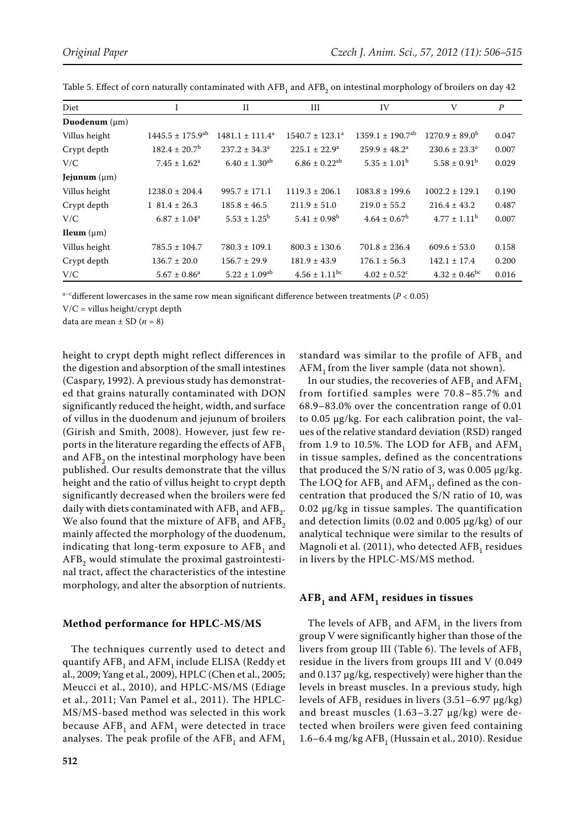| Diet                   |                                  | $_{\rm II}$             | III                           | IV                               | V                         | $\boldsymbol{P}$ |
|------------------------|----------------------------------|-------------------------|-------------------------------|----------------------------------|---------------------------|------------------|
| Duodenum $(\mu m)$     |                                  |                         |                               |                                  |                           |                  |
| Villus height          | $1445.5 \pm 175.9$ <sup>ab</sup> | $1481.1 \pm 111.4^a$    | $1540.7 \pm 123.1^a$          | $1359.1 \pm 190.7$ <sup>ab</sup> | $1270.9 \pm 89.0^{\circ}$ | 0.047            |
| Crypt depth            | $182.4 \pm 20.7$ <sup>b</sup>    | $237.2 \pm 34.3^a$      | $225.1 \pm 22.9^{\circ}$      | $259.9 \pm 48.2^a$               | $230.6 \pm 23.3^{\circ}$  | 0.007            |
| V/C                    | $7.45 \pm 1.62^a$                | $6.40 \pm 1.30^{ab}$    | $6.86 \pm 0.22$ <sup>ab</sup> | $5.35 \pm 1.01^{\rm b}$          | $5.58 \pm 0.91^{\rm b}$   | 0.029            |
| Jejunum $(\mu m)$      |                                  |                         |                               |                                  |                           |                  |
| Villus height          | $1238.0 \pm 204.4$               | $995.7 \pm 171.1$       | $1119.3 \pm 206.1$            | $1083.8 \pm 199.6$               | $1002.2 \pm 129.1$        | 0.190            |
| Crypt depth            | $1\,81.4 \pm 26.3$               | $185.8 \pm 46.5$        | $211.9 \pm 51.0$              | $219.0 \pm 55.2$                 | $216.4 \pm 43.2$          | 0.487            |
| V/C                    | $6.87 \pm 1.04^a$                | $5.53 \pm 1.25^{\rm b}$ | $5.41 \pm 0.98^{\rm b}$       | $4.64 \pm 0.67^{\rm b}$          | $4.77 \pm 1.11^{\rm b}$   | 0.007            |
| <b>Ileum</b> $(\mu m)$ |                                  |                         |                               |                                  |                           |                  |
| Villus height          | $785.5 \pm 104.7$                | $780.3 \pm 109.1$       | $800.3 \pm 130.6$             | $701.8 \pm 236.4$                | $609.6 \pm 53.0$          | 0.158            |
| Crypt depth            | $136.7 \pm 20.0$                 | $156.7 \pm 29.9$        | $181.9 \pm 43.9$              | $176.1 \pm 56.3$                 | $142.1 \pm 17.4$          | 0.200            |
| V/C                    | $5.67 \pm 0.86^a$                | $5.22 \pm 1.09^{ab}$    | $4.56 \pm 1.11$ <sup>bc</sup> | $4.02 \pm 0.52$ <sup>c</sup>     | $4.32 \pm 0.46^{\rm bc}$  | 0.016            |

Table 5. Effect of corn naturally contaminated with  $AFB<sub>1</sub>$  and  $AFB<sub>2</sub>$  on intestinal morphology of broilers on day 42

a−cdifferent lowercases in the same row mean significant difference between treatments (*P* < 0.05)

V/C = villus height/crypt depth

data are mean  $\pm$  SD ( $n = 8$ )

height to crypt depth might reflect differences in the digestion and absorption of the small intestines (Caspary, 1992). A previous study has demonstrated that grains naturally contaminated with DON significantly reduced the height, width, and surface of villus in the duodenum and jejunum of broilers (Girish and Smith, 2008). However, just few reports in the literature regarding the effects of  $AFB<sub>1</sub>$ and AFB<sub>2</sub> on the intestinal morphology have been published. Our results demonstrate that the villus height and the ratio of villus height to crypt depth significantly decreased when the broilers were fed daily with diets contaminated with  $AFB<sub>1</sub>$  and  $AFB<sub>2</sub>$ . We also found that the mixture of  $AFB<sub>1</sub>$  and  $AFB<sub>2</sub>$ mainly affected the morphology of the duodenum, indicating that long-term exposure to  $AFB<sub>1</sub>$  and  $AFB<sub>2</sub>$  would stimulate the proximal gastrointestinal tract, affect the characteristics of the intestine morphology, and alter the absorption of nutrients.

#### **Method performance for HPLC-MS/MS**

The techniques currently used to detect and quantify AFB<sub>1</sub> and AFM<sub>1</sub> include ELISA (Reddy et al., 2009; Yang et al., 2009), HPLC (Chen et al., 2005; Meucci et al., 2010), and HPLC-MS/MS (Ediage et al., 2011; Van Pamel et al., 2011). The HPLC-MS/MS-based method was selected in this work because  $AFB<sub>1</sub>$  and  $AFM<sub>1</sub>$  were detected in trace analyses. The peak profile of the  $AFB<sub>1</sub>$  and  $AFM<sub>1</sub>$  standard was similar to the profile of  $AFB<sub>1</sub>$  and  $AFM<sub>1</sub>$  from the liver sample (data not shown).

In our studies, the recoveries of  $AFB<sub>1</sub>$  and  $AFM<sub>1</sub>$ from fortified samples were 70.8–85.7% and 68.9–83.0% over the concentration range of 0.01 to 0.05 µg/kg. For each calibration point, the values of the relative standard deviation (RSD) ranged from 1.9 to 10.5%. The LOD for  $AFB<sub>1</sub>$  and  $AFM<sub>1</sub>$ in tissue samples, defined as the concentrations that produced the S/N ratio of 3, was  $0.005 \mu g/kg$ . The LOQ for  $AFB<sub>1</sub>$  and  $AFM<sub>1</sub>$ , defined as the concentration that produced the S/N ratio of 10, was 0.02 µg/kg in tissue samples. The quantification and detection limits (0.02 and 0.005 µg/kg) of our analytical technique were similar to the results of Magnoli et al.  $(2011)$ , who detected AFB<sub>1</sub> residues in livers by the HPLC-MS/MS method.

## AFB<sub>1</sub> and AFM<sub>1</sub> residues in tissues

The levels of  $AFB<sub>1</sub>$  and  $AFM<sub>1</sub>$  in the livers from group V were significantly higher than those of the livers from group III (Table 6). The levels of  $AFB<sub>1</sub>$ residue in the livers from groups III and V (0.049 and 0.137 µg/kg, respectively) were higher than the levels in breast muscles. In a previous study, high levels of  $AFB_1$  residues in livers (3.51–6.97  $\mu$ g/kg) and breast muscles (1.63–3.27 µg/kg) were detected when broilers were given feed containing 1.6–6.4 mg/kg  $AFB<sub>1</sub>$  (Hussain et al., 2010). Residue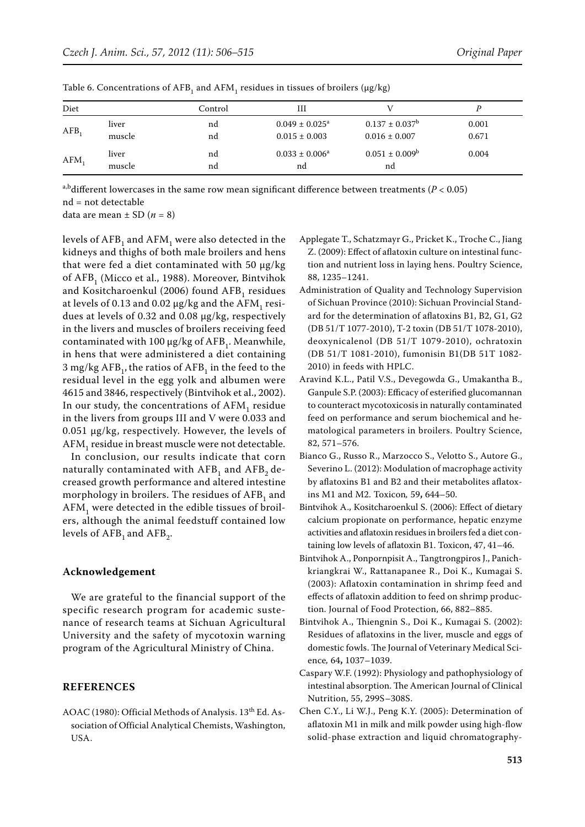| Diet             |                 | Control  | Ш                                                 |                                          |                |
|------------------|-----------------|----------|---------------------------------------------------|------------------------------------------|----------------|
| AFB <sub>1</sub> | liver<br>muscle | nd<br>nd | $0.049 \pm 0.025^{\text{a}}$<br>$0.015 \pm 0.003$ | $0.137 \pm 0.037^b$<br>$0.016 \pm 0.007$ | 0.001<br>0.671 |
| $AFM_1$          | liver<br>muscle | nd<br>nd | $0.033 \pm 0.006^a$<br>nd                         | $0.051 \pm 0.009^b$<br>nd                | 0.004          |

Table 6. Concentrations of AFB<sub>1</sub> and AFM<sub>1</sub> residues in tissues of broilers ( $\mu$ g/kg)

a,bdifferent lowercases in the same row mean significant difference between treatments ( $P < 0.05$ ) nd = not detectable

data are mean  $\pm$  SD ( $n = 8$ )

levels of  $AFB<sub>1</sub>$  and  $AFM<sub>1</sub>$  were also detected in the kidneys and thighs of both male broilers and hens that were fed a diet contaminated with 50  $\mu$ g/kg of AFB<sub>1</sub> (Micco et al., 1988). Moreover, Bintvihok and Kositcharoenkul (2006) found  $AFB<sub>1</sub>$  residues at levels of 0.13 and 0.02  $\mu$ g/kg and the AFM<sub>1</sub> residues at levels of 0.32 and 0.08 µg/kg, respectively in the livers and muscles of broilers receiving feed contaminated with 100  $\mu$ g/kg of AFB<sub>1</sub>. Meanwhile, in hens that were administered a diet containing 3 mg/kg  $AFB_1$ , the ratios of  $AFB_1$  in the feed to the residual level in the egg yolk and albumen were 4615 and 3846, respectively (Bintvihok et al., 2002). In our study, the concentrations of  $AFM<sub>1</sub>$  residue in the livers from groups III and V were 0.033 and 0.051 µg/kg, respectively. However, the levels of AFM<sub>1</sub> residue in breast muscle were not detectable.

In conclusion, our results indicate that corn naturally contaminated with  $AFB<sub>1</sub>$  and  $AFB<sub>2</sub>$  decreased growth performance and altered intestine morphology in broilers. The residues of AFB<sub>1</sub> and  $AFM<sub>1</sub>$  were detected in the edible tissues of broilers, although the animal feedstuff contained low levels of  $AFB<sub>1</sub>$  and  $AFB<sub>2</sub>$ .

## **Acknowledgement**

We are grateful to the financial support of the specific research program for academic sustenance of research teams at Sichuan Agricultural University and the safety of mycotoxin warning program of the Agricultural Ministry of China.

## **REFERENCES**

AOAC (1980): Official Methods of Analysis. 13<sup>th</sup> Ed. Association of Official Analytical Chemists, Washington, USA.

- Applegate T., Schatzmayr G., Pricket K., Troche C., Jiang Z. (2009): Effect of aflatoxin culture on intestinal function and nutrient loss in laying hens. Poultry Science, 88, 1235–1241.
- Administration of Quality and Technology Supervision of Sichuan Province (2010): Sichuan Provincial Standard for the determination of aflatoxins B1, B2, G1, G2 (DB 51/T 1077-2010), T-2 toxin (DB 51/T 1078-2010), deoxynicalenol (DB 51/T 1079-2010), ochratoxin (DB 51/T 1081-2010), fumonisin B1(DB 51T 1082- 2010) in feeds with HPLC.
- Aravind K.L., Patil V.S., Devegowda G., Umakantha B., Ganpule S.P. (2003): Efficacy of esterified glucomannan to counteract mycotoxicosis in naturally contaminated feed on performance and serum biochemical and hematological parameters in broilers. Poultry Science, 82, 571–576.
- Bianco G., Russo R., Marzocco S., Velotto S., Autore G., Severino L. (2012): Modulation of macrophage activity by aflatoxins B1 and B2 and their metabolites aflatoxins M1 and M2. Toxicon*,* 59**,** 644–50.
- Bintvihok A., Kositcharoenkul S. (2006): Effect of dietary calcium propionate on performance, hepatic enzyme activities and aflatoxin residues in broilers fed a diet containing low levels of aflatoxin B1. Toxicon, 47, 41–46.
- Bintvihok A., Ponpornpisit A., Tangtrongpiros J., Panichkriangkrai W., Rattanapanee R., Doi K., Kumagai S. (2003): Aflatoxin contamination in shrimp feed and effects of aflatoxin addition to feed on shrimp production. Journal of Food Protection, 66, 882–885.
- Bintvihok A., Thiengnin S., Doi K., Kumagai S. (2002): Residues of aflatoxins in the liver, muscle and eggs of domestic fowls. The Journal of Veterinary Medical Science*,* 64**,** 1037–1039.
- Caspary W.F. (1992): Physiology and pathophysiology of intestinal absorption. The American Journal of Clinical Nutrition, 55, 299S–308S.
- Chen C.Y., Li W.J., Peng K.Y. (2005): Determination of aflatoxin M1 in milk and milk powder using high-flow solid-phase extraction and liquid chromatography-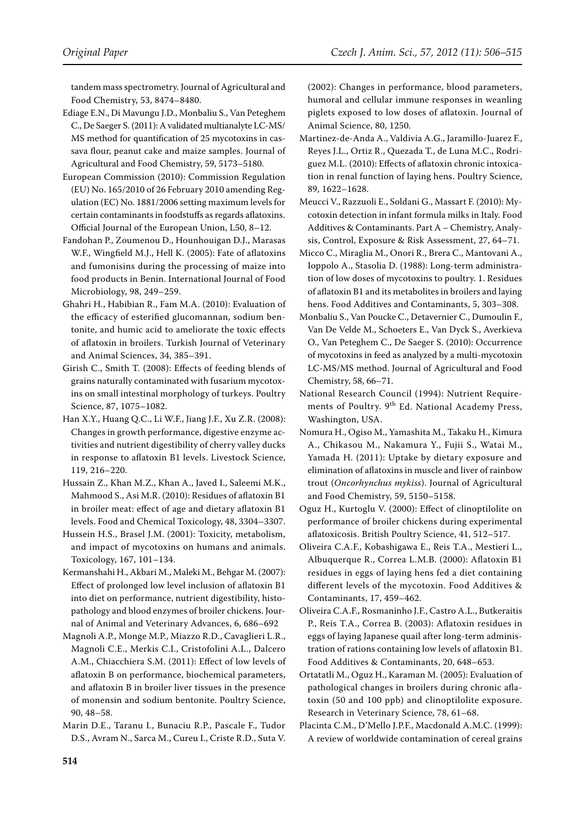tandem mass spectrometry. Journal of Agricultural and Food Chemistry, 53, 8474–8480.

Ediage E.N., Di Mavungu J.D., Monbaliu S., Van Peteghem C., De Saeger S. (2011): A validated multianalyte LC-MS/ MS method for quantification of 25 mycotoxins in cassava flour, peanut cake and maize samples. Journal of Agricultural and Food Chemistry, 59, 5173–5180.

European Commission (2010): Commission Regulation (EU) No. 165/2010 of 26 February 2010 amending Regulation (EC) No. 1881/2006 setting maximum levels for certain contaminants in foodstuffs as regards aflatoxins. Official Journal of the European Union, L50, 8–12.

Fandohan P., Zoumenou D., Hounhouigan D.J., Marasas W.F., Wingfield M.J., Hell K. (2005): Fate of aflatoxins and fumonisins during the processing of maize into food products in Benin. International Journal of Food Microbiology, 98, 249–259.

Ghahri H., Habibian R., Fam M.A. (2010): Evaluation of the efficacy of esterified glucomannan, sodium bentonite, and humic acid to ameliorate the toxic effects of aflatoxin in broilers. Turkish Journal of Veterinary and Animal Sciences, 34, 385–391.

Girish C., Smith T. (2008): Effects of feeding blends of grains naturally contaminated with fusarium mycotoxins on small intestinal morphology of turkeys. Poultry Science, 87, 1075–1082.

Han X.Y., Huang Q.C., Li W.F., Jiang J.F., Xu Z.R. (2008): Changes in growth performance, digestive enzyme activities and nutrient digestibility of cherry valley ducks in response to aflatoxin B1 levels. Livestock Science, 119, 216–220.

Hussain Z., Khan M.Z., Khan A., Javed I., Saleemi M.K., Mahmood S., Asi M.R. (2010): Residues of aflatoxin B1 in broiler meat: effect of age and dietary aflatoxin B1 levels. Food and Chemical Toxicology, 48, 3304–3307.

Hussein H.S., Brasel J.M. (2001): Toxicity, metabolism, and impact of mycotoxins on humans and animals. Toxicology, 167, 101–134.

Kermanshahi H., Akbari M., Maleki M., Behgar M. (2007): Effect of prolonged low level inclusion of aflatoxin B1 into diet on performance, nutrient digestibility, histopathology and blood enzymes of broiler chickens. Journal of Animal and Veterinary Advances, 6, 686–692

Magnoli A.P., Monge M.P., Miazzo R.D., Cavaglieri L.R., Magnoli C.E., Merkis C.I., Cristofolini A.L., Dalcero A.M., Chiacchiera S.M. (2011): Effect of low levels of aflatoxin B on performance, biochemical parameters, and aflatoxin B in broiler liver tissues in the presence of monensin and sodium bentonite. Poultry Science, 90, 48–58.

Marin D.E., Taranu I., Bunaciu R.P., Pascale F., Tudor D.S., Avram N., Sarca M., Cureu I., Criste R.D., Suta V. (2002): Changes in performance, blood parameters, humoral and cellular immune responses in weanling piglets exposed to low doses of aflatoxin. Journal of Animal Science, 80, 1250.

Martinez-de-Anda A., Valdivia A.G., Jaramillo-Juarez F., Reyes J.L., Ortiz R., Quezada T., de Luna M.C., Rodriguez M.L. (2010): Effects of aflatoxin chronic intoxication in renal function of laying hens. Poultry Science, 89, 1622–1628.

Meucci V., Razzuoli E., Soldani G., Massart F. (2010): Mycotoxin detection in infant formula milks in Italy. Food Additives & Contaminants. Part A – Chemistry, Analysis, Control, Exposure & Risk Assessment, 27, 64–71.

Micco C., Miraglia M., Onori R., Brera C., Mantovani A., Ioppolo A., Stasolia D. (1988): Long-term administration of low doses of mycotoxins to poultry. 1. Residues of aflatoxin B1 and its metabolites in broilers and laying hens. Food Additives and Contaminants, 5, 303–308.

Monbaliu S., Van Poucke C., Detavernier C., Dumoulin F., Van De Velde M., Schoeters E., Van Dyck S., Averkieva O., Van Peteghem C., De Saeger S. (2010): Occurrence of mycotoxins in feed as analyzed by a multi-mycotoxin LC-MS/MS method. Journal of Agricultural and Food Chemistry, 58, 66–71.

National Research Council (1994): Nutrient Requirements of Poultry. 9<sup>th</sup> Ed. National Academy Press, Washington, USA.

Nomura H., Ogiso M., Yamashita M., Takaku H., Kimura A., Chikasou M., Nakamura Y., Fujii S., Watai M., Yamada H. (2011): Uptake by dietary exposure and elimination of aflatoxins in muscle and liver of rainbow trout (*Oncorhynchus mykiss*). Journal of Agricultural and Food Chemistry, 59, 5150–5158.

Oguz H., Kurtoglu V. (2000): Effect of clinoptilolite on performance of broiler chickens during experimental aflatoxicosis. British Poultry Science, 41, 512–517.

Oliveira C.A.F., Kobashigawa E., Reis T.A., Mestieri L., Albuquerque R., Correa L.M.B. (2000): Aflatoxin B1 residues in eggs of laying hens fed a diet containing different levels of the mycotoxin. Food Additives & Contaminants, 17, 459–462.

Oliveira C.A.F., Rosmaninho J.F., Castro A.L., Butkeraitis P., Reis T.A., Correa B. (2003): Aflatoxin residues in eggs of laying Japanese quail after long-term administration of rations containing low levels of aflatoxin B1. Food Additives & Contaminants, 20, 648–653.

Ortatatli M., Oguz H., Karaman M. (2005): Evaluation of pathological changes in broilers during chronic aflatoxin (50 and 100 ppb) and clinoptilolite exposure. Research in Veterinary Science, 78, 61–68.

Placinta C.M., D'Mello J.P.F., Macdonald A.M.C. (1999): A review of worldwide contamination of cereal grains